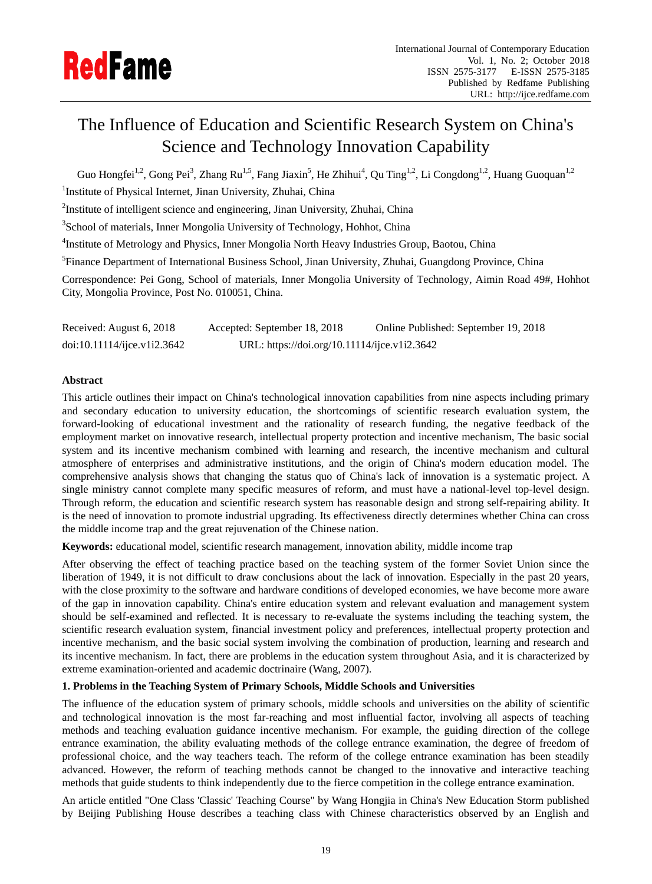

# The Influence of Education and Scientific Research System on China's Science and Technology Innovation Capability

Guo Hongfei<sup>1,2</sup>, Gong Pei<sup>3</sup>, Zhang Ru<sup>1,5</sup>, Fang Jiaxin<sup>5</sup>, He Zhihui<sup>4</sup>, Qu Ting<sup>1,2</sup>, Li Congdong<sup>1,2</sup>, Huang Guoquan<sup>1,2</sup> <sup>1</sup>Institute of Physical Internet, Jinan University, Zhuhai, China

<sup>2</sup>Institute of intelligent science and engineering, Jinan University, Zhuhai, China

<sup>3</sup>School of materials, Inner Mongolia University of Technology, Hohhot, China

<sup>4</sup>Institute of Metrology and Physics, Inner Mongolia North Heavy Industries Group, Baotou, China

<sup>5</sup>Finance Department of International Business School, Jinan University, Zhuhai, Guangdong Province, China

Correspondence: Pei Gong, School of materials, Inner Mongolia University of Technology, Aimin Road 49#, Hohhot City, Mongolia Province, Post No. 010051, China.

| Received: August 6, 2018   | Accepted: September 18, 2018                 | Online Published: September 19, 2018 |
|----------------------------|----------------------------------------------|--------------------------------------|
| doi:10.11114/jce.v1i2.3642 | URL: https://doi.org/10.11114/ijce.v1i2.3642 |                                      |

# **Abstract**

This article outlines their impact on China's technological innovation capabilities from nine aspects including primary and secondary education to university education, the shortcomings of scientific research evaluation system, the forward-looking of educational investment and the rationality of research funding, the negative feedback of the employment market on innovative research, intellectual property protection and incentive mechanism, The basic social system and its incentive mechanism combined with learning and research, the incentive mechanism and cultural atmosphere of enterprises and administrative institutions, and the origin of China's modern education model. The comprehensive analysis shows that changing the status quo of China's lack of innovation is a systematic project. A single ministry cannot complete many specific measures of reform, and must have a national-level top-level design. Through reform, the education and scientific research system has reasonable design and strong self-repairing ability. It is the need of innovation to promote industrial upgrading. Its effectiveness directly determines whether China can cross the middle income trap and the great rejuvenation of the Chinese nation.

**Keywords:** educational model, scientific research management, innovation ability, middle income trap

After observing the effect of teaching practice based on the teaching system of the former Soviet Union since the liberation of 1949, it is not difficult to draw conclusions about the lack of innovation. Especially in the past 20 years, with the close proximity to the software and hardware conditions of developed economies, we have become more aware of the gap in innovation capability. China's entire education system and relevant evaluation and management system should be self-examined and reflected. It is necessary to re-evaluate the systems including the teaching system, the scientific research evaluation system, financial investment policy and preferences, intellectual property protection and incentive mechanism, and the basic social system involving the combination of production, learning and research and its incentive mechanism. In fact, there are problems in the education system throughout Asia, and it is characterized by extreme examination-oriented and academic doctrinaire (Wang, 2007).

# **1. Problems in the Teaching System of Primary Schools, Middle Schools and Universities**

The influence of the education system of primary schools, middle schools and universities on the ability of scientific and technological innovation is the most far-reaching and most influential factor, involving all aspects of teaching methods and teaching evaluation guidance incentive mechanism. For example, the guiding direction of the college entrance examination, the ability evaluating methods of the college entrance examination, the degree of freedom of professional choice, and the way teachers teach. The reform of the college entrance examination has been steadily advanced. However, the reform of teaching methods cannot be changed to the innovative and interactive teaching methods that guide students to think independently due to the fierce competition in the college entrance examination.

An article entitled "One Class 'Classic' Teaching Course" by Wang Hongjia in China's New Education Storm published by Beijing Publishing House describes a teaching class with Chinese characteristics observed by an English and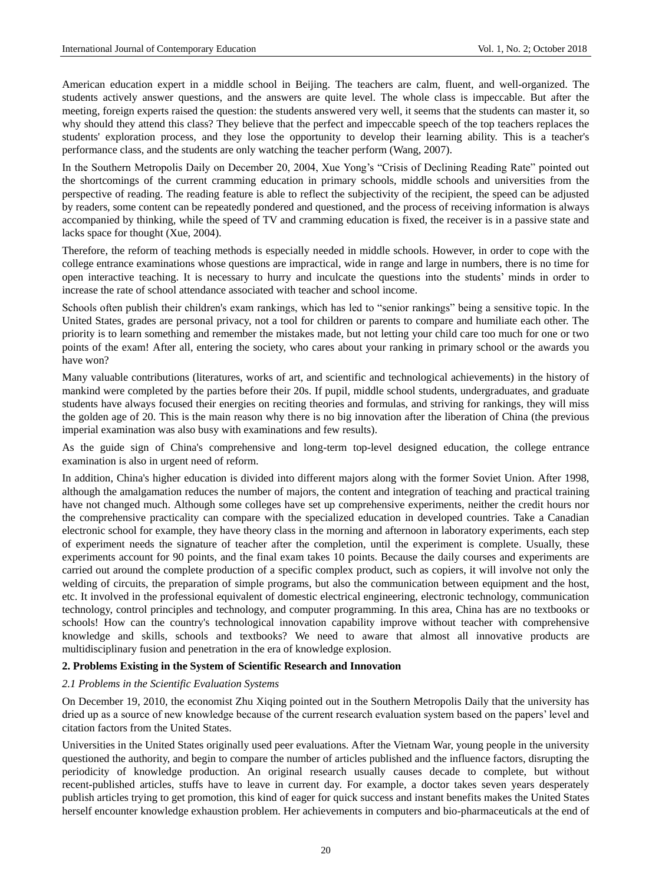American education expert in a middle school in Beijing. The teachers are calm, fluent, and well-organized. The students actively answer questions, and the answers are quite level. The whole class is impeccable. But after the meeting, foreign experts raised the question: the students answered very well, it seems that the students can master it, so why should they attend this class? They believe that the perfect and impeccable speech of the top teachers replaces the students' exploration process, and they lose the opportunity to develop their learning ability. This is a teacher's performance class, and the students are only watching the teacher perform (Wang, 2007).

In the Southern Metropolis Daily on December 20, 2004, Xue Yong's "Crisis of Declining Reading Rate" pointed out the shortcomings of the current cramming education in primary schools, middle schools and universities from the perspective of reading. The reading feature is able to reflect the subjectivity of the recipient, the speed can be adjusted by readers, some content can be repeatedly pondered and questioned, and the process of receiving information is always accompanied by thinking, while the speed of TV and cramming education is fixed, the receiver is in a passive state and lacks space for thought (Xue, 2004).

Therefore, the reform of teaching methods is especially needed in middle schools. However, in order to cope with the college entrance examinations whose questions are impractical, wide in range and large in numbers, there is no time for open interactive teaching. It is necessary to hurry and inculcate the questions into the students' minds in order to increase the rate of school attendance associated with teacher and school income.

Schools often publish their children's exam rankings, which has led to "senior rankings" being a sensitive topic. In the United States, grades are personal privacy, not a tool for children or parents to compare and humiliate each other. The priority is to learn something and remember the mistakes made, but not letting your child care too much for one or two points of the exam! After all, entering the society, who cares about your ranking in primary school or the awards you have won?

Many valuable contributions (literatures, works of art, and scientific and technological achievements) in the history of mankind were completed by the parties before their 20s. If pupil, middle school students, undergraduates, and graduate students have always focused their energies on reciting theories and formulas, and striving for rankings, they will miss the golden age of 20. This is the main reason why there is no big innovation after the liberation of China (the previous imperial examination was also busy with examinations and few results).

As the guide sign of China's comprehensive and long-term top-level designed education, the college entrance examination is also in urgent need of reform.

In addition, China's higher education is divided into different majors along with the former Soviet Union. After 1998, although the amalgamation reduces the number of majors, the content and integration of teaching and practical training have not changed much. Although some colleges have set up comprehensive experiments, neither the credit hours nor the comprehensive practicality can compare with the specialized education in developed countries. Take a Canadian electronic school for example, they have theory class in the morning and afternoon in laboratory experiments, each step of experiment needs the signature of teacher after the completion, until the experiment is complete. Usually, these experiments account for 90 points, and the final exam takes 10 points. Because the daily courses and experiments are carried out around the complete production of a specific complex product, such as copiers, it will involve not only the welding of circuits, the preparation of simple programs, but also the communication between equipment and the host, etc. It involved in the professional equivalent of domestic electrical engineering, electronic technology, communication technology, control principles and technology, and computer programming. In this area, China has are no textbooks or schools! How can the country's technological innovation capability improve without teacher with comprehensive knowledge and skills, schools and textbooks? We need to aware that almost all innovative products are multidisciplinary fusion and penetration in the era of knowledge explosion.

# **2. Problems Existing in the System of Scientific Research and Innovation**

### *2.1 Problems in the Scientific Evaluation Systems*

On December 19, 2010, the economist Zhu Xiqing pointed out in the Southern Metropolis Daily that the university has dried up as a source of new knowledge because of the current research evaluation system based on the papers' level and citation factors from the United States.

Universities in the United States originally used peer evaluations. After the Vietnam War, young people in the university questioned the authority, and begin to compare the number of articles published and the influence factors, disrupting the periodicity of knowledge production. An original research usually causes decade to complete, but without recent-published articles, stuffs have to leave in current day. For example, a doctor takes seven years desperately publish articles trying to get promotion, this kind of eager for quick success and instant benefits makes the United States herself encounter knowledge exhaustion problem. Her achievements in computers and bio-pharmaceuticals at the end of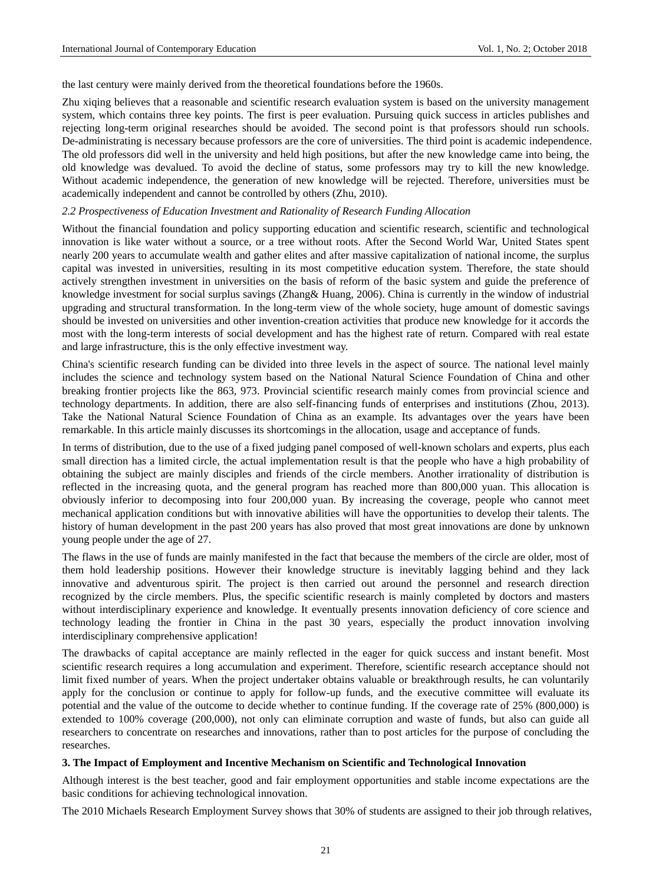the last century were mainly derived from the theoretical foundations before the 1960s.

Zhu xiqing believes that a reasonable and scientific research evaluation system is based on the university management system, which contains three key points. The first is peer evaluation. Pursuing quick success in articles publishes and rejecting long-term original researches should be avoided. The second point is that professors should run schools. De-administrating is necessary because professors are the core of universities. The third point is academic independence. The old professors did well in the university and held high positions, but after the new knowledge came into being, the old knowledge was devalued. To avoid the decline of status, some professors may try to kill the new knowledge. Without academic independence, the generation of new knowledge will be rejected. Therefore, universities must be academically independent and cannot be controlled by others (Zhu, 2010).

# *2.2 Prospectiveness of Education Investment and Rationality of Research Funding Allocation*

Without the financial foundation and policy supporting education and scientific research, scientific and technological innovation is like water without a source, or a tree without roots. After the Second World War, United States spent nearly 200 years to accumulate wealth and gather elites and after massive capitalization of national income, the surplus capital was invested in universities, resulting in its most competitive education system. Therefore, the state should actively strengthen investment in universities on the basis of reform of the basic system and guide the preference of knowledge investment for social surplus savings (Zhang& Huang, 2006). China is currently in the window of industrial upgrading and structural transformation. In the long-term view of the whole society, huge amount of domestic savings should be invested on universities and other invention-creation activities that produce new knowledge for it accords the most with the long-term interests of social development and has the highest rate of return. Compared with real estate and large infrastructure, this is the only effective investment way.

China's scientific research funding can be divided into three levels in the aspect of source. The national level mainly includes the science and technology system based on the National Natural Science Foundation of China and other breaking frontier projects like the 863, 973. Provincial scientific research mainly comes from provincial science and technology departments. In addition, there are also self-financing funds of enterprises and institutions (Zhou, 2013). Take the National Natural Science Foundation of China as an example. Its advantages over the years have been remarkable. In this article mainly discusses its shortcomings in the allocation, usage and acceptance of funds.

In terms of distribution, due to the use of a fixed judging panel composed of well-known scholars and experts, plus each small direction has a limited circle, the actual implementation result is that the people who have a high probability of obtaining the subject are mainly disciples and friends of the circle members. Another irrationality of distribution is reflected in the increasing quota, and the general program has reached more than 800,000 yuan. This allocation is obviously inferior to decomposing into four 200,000 yuan. By increasing the coverage, people who cannot meet mechanical application conditions but with innovative abilities will have the opportunities to develop their talents. The history of human development in the past 200 years has also proved that most great innovations are done by unknown young people under the age of 27.

The flaws in the use of funds are mainly manifested in the fact that because the members of the circle are older, most of them hold leadership positions. However their knowledge structure is inevitably lagging behind and they lack innovative and adventurous spirit. The project is then carried out around the personnel and research direction recognized by the circle members. Plus, the specific scientific research is mainly completed by doctors and masters without interdisciplinary experience and knowledge. It eventually presents innovation deficiency of core science and technology leading the frontier in China in the past 30 years, especially the product innovation involving interdisciplinary comprehensive application!

The drawbacks of capital acceptance are mainly reflected in the eager for quick success and instant benefit. Most scientific research requires a long accumulation and experiment. Therefore, scientific research acceptance should not limit fixed number of years. When the project undertaker obtains valuable or breakthrough results, he can voluntarily apply for the conclusion or continue to apply for follow-up funds, and the executive committee will evaluate its potential and the value of the outcome to decide whether to continue funding. If the coverage rate of 25% (800,000) is extended to 100% coverage (200,000), not only can eliminate corruption and waste of funds, but also can guide all researchers to concentrate on researches and innovations, rather than to post articles for the purpose of concluding the researches.

# **3. The Impact of Employment and Incentive Mechanism on Scientific and Technological Innovation**

Although interest is the best teacher, good and fair employment opportunities and stable income expectations are the basic conditions for achieving technological innovation.

The 2010 Michaels Research Employment Survey shows that 30% of students are assigned to their job through relatives,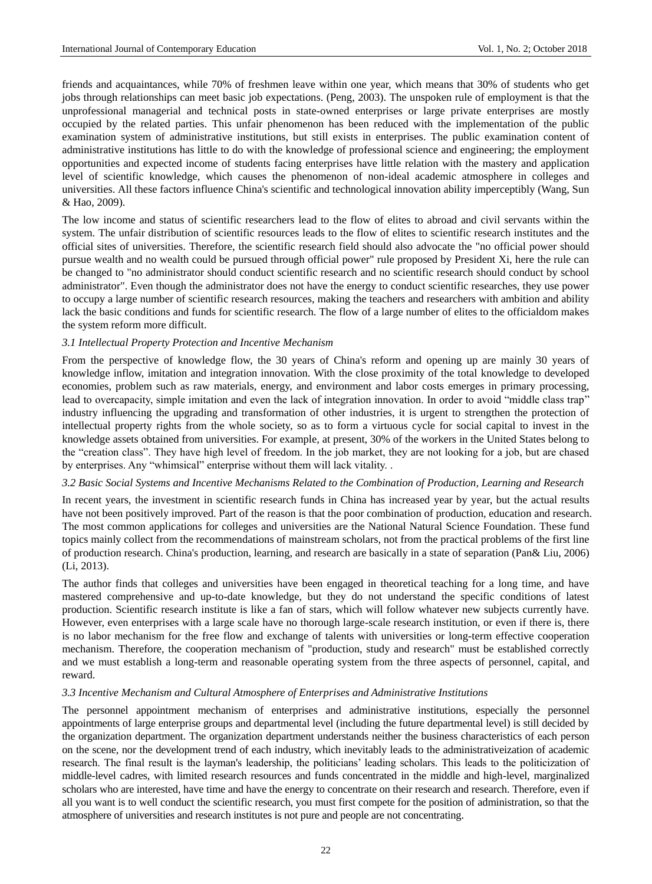friends and acquaintances, while 70% of freshmen leave within one year, which means that 30% of students who get jobs through relationships can meet basic job expectations. (Peng, 2003). The unspoken rule of employment is that the unprofessional managerial and technical posts in state-owned enterprises or large private enterprises are mostly occupied by the related parties. This unfair phenomenon has been reduced with the implementation of the public examination system of administrative institutions, but still exists in enterprises. The public examination content of administrative institutions has little to do with the knowledge of professional science and engineering; the employment opportunities and expected income of students facing enterprises have little relation with the mastery and application level of scientific knowledge, which causes the phenomenon of non-ideal academic atmosphere in colleges and universities. All these factors influence China's scientific and technological innovation ability imperceptibly (Wang, Sun & Hao, 2009).

The low income and status of scientific researchers lead to the flow of elites to abroad and civil servants within the system. The unfair distribution of scientific resources leads to the flow of elites to scientific research institutes and the official sites of universities. Therefore, the scientific research field should also advocate the "no official power should pursue wealth and no wealth could be pursued through official power" rule proposed by President Xi, here the rule can be changed to "no administrator should conduct scientific research and no scientific research should conduct by school administrator". Even though the administrator does not have the energy to conduct scientific researches, they use power to occupy a large number of scientific research resources, making the teachers and researchers with ambition and ability lack the basic conditions and funds for scientific research. The flow of a large number of elites to the officialdom makes the system reform more difficult.

## *3.1 Intellectual Property Protection and Incentive Mechanism*

From the perspective of knowledge flow, the 30 years of China's reform and opening up are mainly 30 years of knowledge inflow, imitation and integration innovation. With the close proximity of the total knowledge to developed economies, problem such as raw materials, energy, and environment and labor costs emerges in primary processing, lead to overcapacity, simple imitation and even the lack of integration innovation. In order to avoid "middle class trap" industry influencing the upgrading and transformation of other industries, it is urgent to strengthen the protection of intellectual property rights from the whole society, so as to form a virtuous cycle for social capital to invest in the knowledge assets obtained from universities. For example, at present, 30% of the workers in the United States belong to the "creation class". They have high level of freedom. In the job market, they are not looking for a job, but are chased by enterprises. Any "whimsical" enterprise without them will lack vitality. .

# *3.2 Basic Social Systems and Incentive Mechanisms Related to the Combination of Production, Learning and Research*

In recent years, the investment in scientific research funds in China has increased year by year, but the actual results have not been positively improved. Part of the reason is that the poor combination of production, education and research. The most common applications for colleges and universities are the National Natural Science Foundation. These fund topics mainly collect from the recommendations of mainstream scholars, not from the practical problems of the first line of production research. China's production, learning, and research are basically in a state of separation (Pan& Liu, 2006) (Li, 2013).

The author finds that colleges and universities have been engaged in theoretical teaching for a long time, and have mastered comprehensive and up-to-date knowledge, but they do not understand the specific conditions of latest production. Scientific research institute is like a fan of stars, which will follow whatever new subjects currently have. However, even enterprises with a large scale have no thorough large-scale research institution, or even if there is, there is no labor mechanism for the free flow and exchange of talents with universities or long-term effective cooperation mechanism. Therefore, the cooperation mechanism of "production, study and research" must be established correctly and we must establish a long-term and reasonable operating system from the three aspects of personnel, capital, and reward.

# *3.3 Incentive Mechanism and Cultural Atmosphere of Enterprises and Administrative Institutions*

The personnel appointment mechanism of enterprises and administrative institutions, especially the personnel appointments of large enterprise groups and departmental level (including the future departmental level) is still decided by the organization department. The organization department understands neither the business characteristics of each person on the scene, nor the development trend of each industry, which inevitably leads to the administrativeization of academic research. The final result is the layman's leadership, the politicians' leading scholars. This leads to the politicization of middle-level cadres, with limited research resources and funds concentrated in the middle and high-level, marginalized scholars who are interested, have time and have the energy to concentrate on their research and research. Therefore, even if all you want is to well conduct the scientific research, you must first compete for the position of administration, so that the atmosphere of universities and research institutes is not pure and people are not concentrating.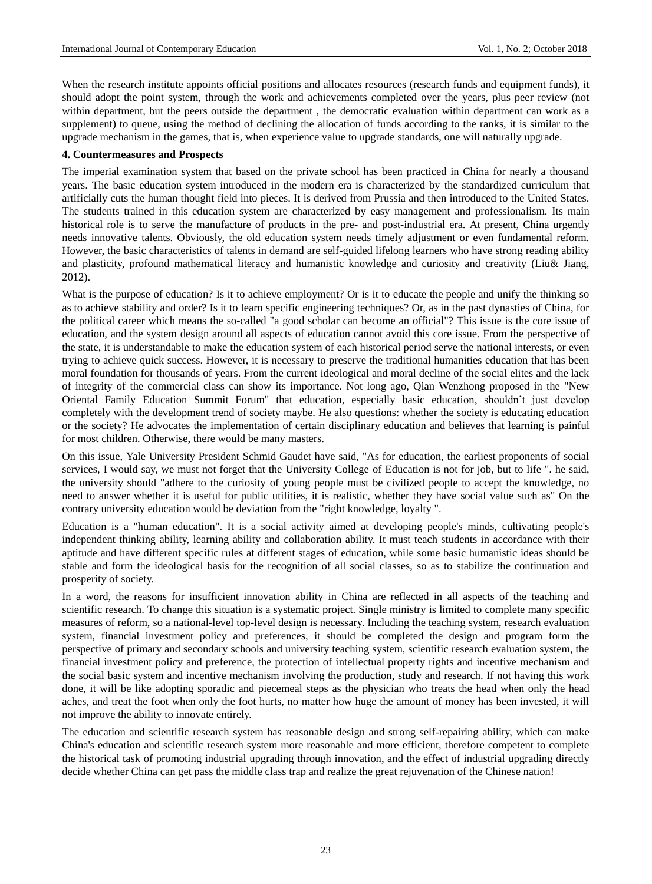When the research institute appoints official positions and allocates resources (research funds and equipment funds), it should adopt the point system, through the work and achievements completed over the years, plus peer review (not within department, but the peers outside the department , the democratic evaluation within department can work as a supplement) to queue, using the method of declining the allocation of funds according to the ranks, it is similar to the upgrade mechanism in the games, that is, when experience value to upgrade standards, one will naturally upgrade.

## **4. Countermeasures and Prospects**

The imperial examination system that based on the private school has been practiced in China for nearly a thousand years. The basic education system introduced in the modern era is characterized by the standardized curriculum that artificially cuts the human thought field into pieces. It is derived from Prussia and then introduced to the United States. The students trained in this education system are characterized by easy management and professionalism. Its main historical role is to serve the manufacture of products in the pre- and post-industrial era. At present, China urgently needs innovative talents. Obviously, the old education system needs timely adjustment or even fundamental reform. However, the basic characteristics of talents in demand are self-guided lifelong learners who have strong reading ability and plasticity, profound mathematical literacy and humanistic knowledge and curiosity and creativity (Liu& Jiang, 2012).

What is the purpose of education? Is it to achieve employment? Or is it to educate the people and unify the thinking so as to achieve stability and order? Is it to learn specific engineering techniques? Or, as in the past dynasties of China, for the political career which means the so-called "a good scholar can become an official"? This issue is the core issue of education, and the system design around all aspects of education cannot avoid this core issue. From the perspective of the state, it is understandable to make the education system of each historical period serve the national interests, or even trying to achieve quick success. However, it is necessary to preserve the traditional humanities education that has been moral foundation for thousands of years. From the current ideological and moral decline of the social elites and the lack of integrity of the commercial class can show its importance. Not long ago, Qian Wenzhong proposed in the "New Oriental Family Education Summit Forum" that education, especially basic education, shouldn't just develop completely with the development trend of society maybe. He also questions: whether the society is educating education or the society? He advocates the implementation of certain disciplinary education and believes that learning is painful for most children. Otherwise, there would be many masters.

On this issue, Yale University President Schmid Gaudet have said, "As for education, the earliest proponents of social services, I would say, we must not forget that the University College of Education is not for job, but to life ". he said, the university should "adhere to the curiosity of young people must be civilized people to accept the knowledge, no need to answer whether it is useful for public utilities, it is realistic, whether they have social value such as" On the contrary university education would be deviation from the "right knowledge, loyalty ".

Education is a "human education". It is a social activity aimed at developing people's minds, cultivating people's independent thinking ability, learning ability and collaboration ability. It must teach students in accordance with their aptitude and have different specific rules at different stages of education, while some basic humanistic ideas should be stable and form the ideological basis for the recognition of all social classes, so as to stabilize the continuation and prosperity of society.

In a word, the reasons for insufficient innovation ability in China are reflected in all aspects of the teaching and scientific research. To change this situation is a systematic project. Single ministry is limited to complete many specific measures of reform, so a national-level top-level design is necessary. Including the teaching system, research evaluation system, financial investment policy and preferences, it should be completed the design and program form the perspective of primary and secondary schools and university teaching system, scientific research evaluation system, the financial investment policy and preference, the protection of intellectual property rights and incentive mechanism and the social basic system and incentive mechanism involving the production, study and research. If not having this work done, it will be like adopting sporadic and piecemeal steps as the physician who treats the head when only the head aches, and treat the foot when only the foot hurts, no matter how huge the amount of money has been invested, it will not improve the ability to innovate entirely.

The education and scientific research system has reasonable design and strong self-repairing ability, which can make China's education and scientific research system more reasonable and more efficient, therefore competent to complete the historical task of promoting industrial upgrading through innovation, and the effect of industrial upgrading directly decide whether China can get pass the middle class trap and realize the great rejuvenation of the Chinese nation!